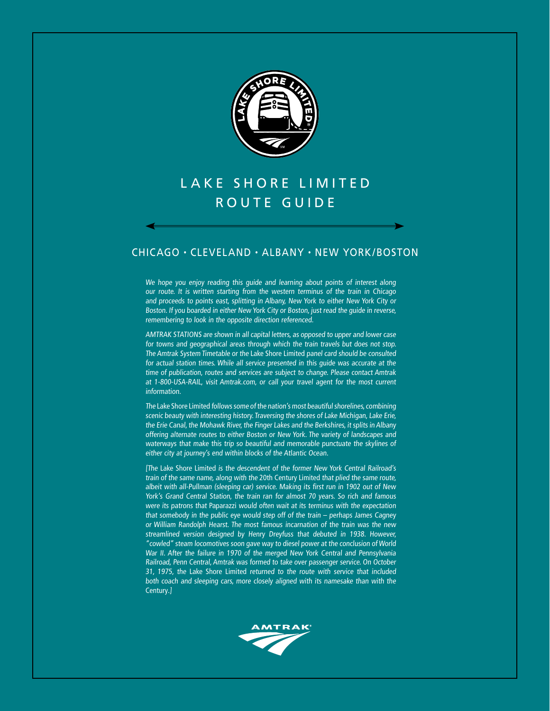

# lake shore limited ROUTE GUIDE

### chicago • cleveland • albany • New york/Boston

We hope you enjoy reading this guide and learning about points of interest along our route. It is written starting from the western terminus of the train in Chicago and proceeds to points east, splitting in Albany, New York to either New York City or Boston. If you boarded in either New York City or Boston, just read the guide in reverse, remembering to look in the opposite direction referenced.

AMTRAK STATIONS are shown in all capital letters, as opposed to upper and lower case for towns and geographical areas through which the train travels but does not stop. The Amtrak System Timetable or the Lake Shore Limited panel card should be consulted for actual station times. While all service presented in this guide was accurate at the time of publication, routes and services are subject to change. Please contact Amtrak at 1-800-USA-RAIL, visit Amtrak.com, or call your travel agent for the most current information.

The Lake Shore Limited follows some of the nation's most beautiful shorelines, combining scenic beauty with interesting history. Traversing the shores of Lake Michigan, Lake Erie, the Erie Canal, the Mohawk River, the Finger Lakes and the Berkshires, it splits in Albany offering alternate routes to either Boston or New York. The variety of landscapes and waterways that make this trip so beautiful and memorable punctuate the skylines of either city at journey's end within blocks of the Atlantic Ocean.

[The Lake Shore Limited is the descendent of the former New York Central Railroad's train of the same name, along with the 20th Century Limited that plied the same route, albeit with all-Pullman (sleeping car) service. Making its first run in 1902 out of New York's Grand Central Station, the train ran for almost 70 years. So rich and famous were its patrons that Paparazzi would often wait at its terminus with the expectation that somebody in the public eye would step off of the train – perhaps James Cagney or William Randolph Hearst. The most famous incarnation of the train was the new streamlined version designed by Henry Dreyfuss that debuted in 1938. However, "cowled" steam locomotives soon gave way to diesel power at the conclusion of World War II. After the failure in 1970 of the merged New York Central and Pennsylvania Railroad, Penn Central, Amtrak was formed to take over passenger service. On October 31, 1975, the Lake Shore Limited returned to the route with service that included both coach and sleeping cars, more closely aligned with its namesake than with the Century.]

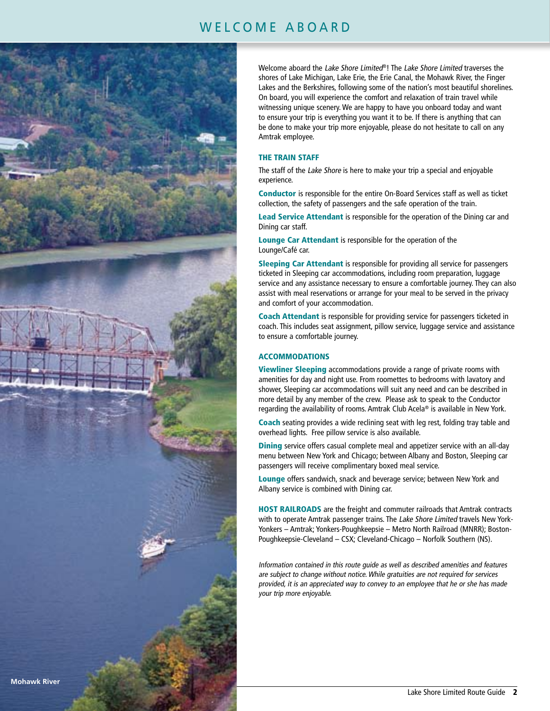## WELCOME ABOARD



Welcome aboard the Lake Shore Limited®! The Lake Shore Limited traverses the shores of Lake Michigan, Lake Erie, the Erie Canal, the Mohawk River, the Finger Lakes and the Berkshires, following some of the nation's most beautiful shorelines. On board, you will experience the comfort and relaxation of train travel while witnessing unique scenery. We are happy to have you onboard today and want to ensure your trip is everything you want it to be. If there is anything that can be done to make your trip more enjoyable, please do not hesitate to call on any Amtrak employee.

#### THE TRAIN STAFF

The staff of the Lake Shore is here to make your trip a special and enjoyable experience.

Conductor is responsible for the entire On-Board Services staff as well as ticket collection, the safety of passengers and the safe operation of the train.

Lead Service Attendant is responsible for the operation of the Dining car and Dining car staff.

Lounge Car Attendant is responsible for the operation of the Lounge/Café car.

Sleeping Car Attendant is responsible for providing all service for passengers ticketed in Sleeping car accommodations, including room preparation, luggage service and any assistance necessary to ensure a comfortable journey. They can also assist with meal reservations or arrange for your meal to be served in the privacy and comfort of your accommodation.

Coach Attendant is responsible for providing service for passengers ticketed in coach. This includes seat assignment, pillow service, luggage service and assistance to ensure a comfortable journey.

#### ACCOMMODATIONS

Viewliner Sleeping accommodations provide a range of private rooms with amenities for day and night use. From roomettes to bedrooms with lavatory and shower, Sleeping car accommodations will suit any need and can be described in more detail by any member of the crew. Please ask to speak to the Conductor regarding the availability of rooms. Amtrak Club Acela® is available in New York.

Coach seating provides a wide reclining seat with leg rest, folding tray table and overhead lights. Free pillow service is also available.

**Dining** service offers casual complete meal and appetizer service with an all-day menu between New York and Chicago; between Albany and Boston, Sleeping car passengers will receive complimentary boxed meal service.

Lounge offers sandwich, snack and beverage service; between New York and Albany service is combined with Dining car.

HOST RAILROADS are the freight and commuter railroads that Amtrak contracts with to operate Amtrak passenger trains. The Lake Shore Limited travels New York-Yonkers – Amtrak; Yonkers-Poughkeepsie – Metro North Railroad (MNRR); Boston-Poughkeepsie-Cleveland – CSX; Cleveland-Chicago – Norfolk Southern (NS).

Information contained in this route guide as well as described amenities and features are subject to change without notice. While gratuities are not required for services provided, it is an appreciated way to convey to an employee that he or she has made your trip more enjoyable.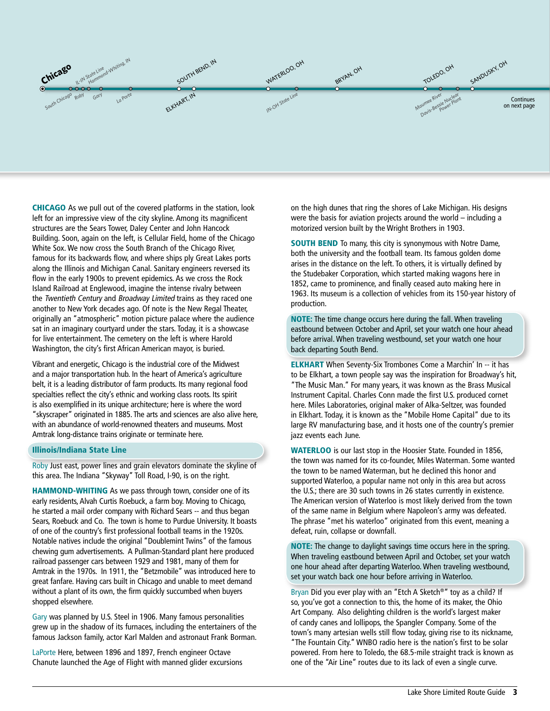

CHICAGO As we pull out of the covered platforms in the station, look left for an impressive view of the city skyline. Among its magnificent structures are the Sears Tower, Daley Center and John Hancock Building. Soon, again on the left, is Cellular Field, home of the Chicago White Sox. We now cross the South Branch of the Chicago River, famous for its backwards flow, and where ships ply Great Lakes ports along the Illinois and Michigan Canal. Sanitary engineers reversed its flow in the early 1900s to prevent epidemics. As we cross the Rock Island Railroad at Englewood, imagine the intense rivalry between the Twentieth Century and Broadway Limited trains as they raced one another to New York decades ago. Of note is the New Regal Theater, originally an "atmospheric" motion picture palace where the audience sat in an imaginary courtyard under the stars. Today, it is a showcase for live entertainment. The cemetery on the left is where Harold Washington, the city's first African American mayor, is buried.

Vibrant and energetic, Chicago is the industrial core of the Midwest and a major transportation hub. In the heart of America's agriculture belt, it is a leading distributor of farm products. Its many regional food specialties reflect the city's ethnic and working class roots. Its spirit is also exemplified in its unique architecture; here is where the word "skyscraper" originated in 1885. The arts and sciences are also alive here, with an abundance of world-renowned theaters and museums. Most Amtrak long-distance trains originate or terminate here.

#### Illinois/Indiana State Line

Roby Just east, power lines and grain elevators dominate the skyline of this area. The Indiana "Skyway" Toll Road, I-90, is on the right.

HAMMOND-WHITING As we pass through town, consider one of its early residents, Alvah Curtis Roebuck, a farm boy. Moving to Chicago, he started a mail order company with Richard Sears -- and thus began Sears, Roebuck and Co. The town is home to Purdue University. It boasts of one of the country's first professional football teams in the 1920s. Notable natives include the original "Doublemint Twins" of the famous chewing gum advertisements. A Pullman-Standard plant here produced railroad passenger cars between 1929 and 1981, many of them for Amtrak in the 1970s. In 1911, the "Betzmobile" was introduced here to great fanfare. Having cars built in Chicago and unable to meet demand without a plant of its own, the firm quickly succumbed when buyers shopped elsewhere.

Gary was planned by U.S. Steel in 1906. Many famous personalities grew up in the shadow of its furnaces, including the entertainers of the famous Jackson family, actor Karl Malden and astronaut Frank Borman.

LaPorte Here, between 1896 and 1897, French engineer Octave Chanute launched the Age of Flight with manned glider excursions

on the high dunes that ring the shores of Lake Michigan. His designs were the basis for aviation projects around the world – including a motorized version built by the Wright Brothers in 1903.

**SOUTH BEND** To many, this city is synonymous with Notre Dame, both the university and the football team. Its famous golden dome arises in the distance on the left. To others, it is virtually defined by the Studebaker Corporation, which started making wagons here in 1852, came to prominence, and finally ceased auto making here in 1963. Its museum is a collection of vehicles from its 150-year history of production.

NOTE: The time change occurs here during the fall. When traveling eastbound between October and April, set your watch one hour ahead before arrival. When traveling westbound, set your watch one hour back departing South Bend.

ELKHART When Seventy-Six Trombones Come a Marchin' In -- it has to be Elkhart, a town people say was the inspiration for Broadway's hit, "The Music Man." For many years, it was known as the Brass Musical Instrument Capital. Charles Conn made the first U.S. produced cornet here. Miles Laboratories, original maker of Alka-Seltzer, was founded in Elkhart. Today, it is known as the "Mobile Home Capital" due to its large RV manufacturing base, and it hosts one of the country's premier jazz events each June.

WATERLOO is our last stop in the Hoosier State. Founded in 1856, the town was named for its co-founder, Miles Waterman. Some wanted the town to be named Waterman, but he declined this honor and supported Waterloo, a popular name not only in this area but across the U.S.; there are 30 such towns in 26 states currently in existence. The American version of Waterloo is most likely derived from the town of the same name in Belgium where Napoleon's army was defeated. The phrase "met his waterloo" originated from this event, meaning a defeat, ruin, collapse or downfall.

NOTE: The change to daylight savings time occurs here in the spring. When traveling eastbound between April and October, set your watch one hour ahead after departing Waterloo. When traveling westbound, set your watch back one hour before arriving in Waterloo.

Bryan Did you ever play with an "Etch A Sketch®" toy as a child? If so, you've got a connection to this, the home of its maker, the Ohio Art Company. Also delighting children is the world's largest maker of candy canes and lollipops, the Spangler Company. Some of the town's many artesian wells still flow today, giving rise to its nickname, "The Fountain City." WNBO radio here is the nation's first to be solar powered. From here to Toledo, the 68.5-mile straight track is known as one of the "Air Line" routes due to its lack of even a single curve.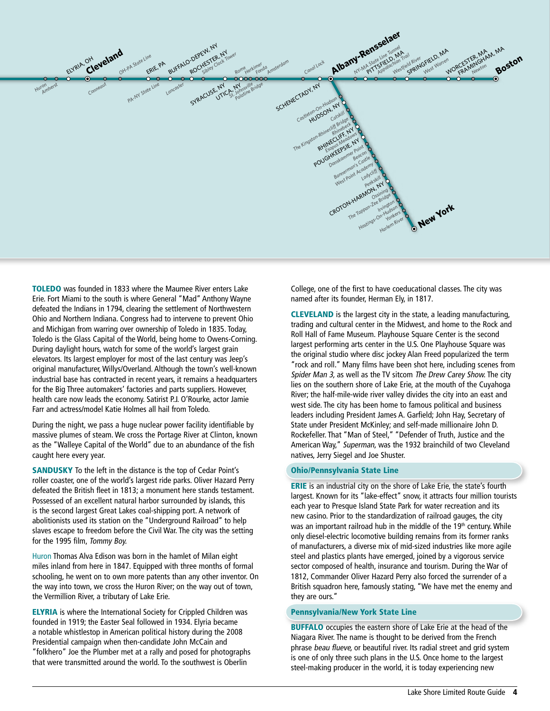

TOLEDO was founded in 1833 where the Maumee River enters Lake Erie. Fort Miami to the south is where General "Mad" Anthony Wayne defeated the Indians in 1794, clearing the settlement of Northwestern Ohio and Northern Indiana. Congress had to intervene to prevent Ohio and Michigan from warring over ownership of Toledo in 1835. Today, Toledo is the Glass Capital of the World, being home to Owens-Corning. During daylight hours, watch for some of the world's largest grain elevators. Its largest employer for most of the last century was Jeep's original manufacturer, Willys/Overland. Although the town's well-known industrial base has contracted in recent years, it remains a headquarters for the Big Three automakers' factories and parts suppliers. However, health care now leads the economy. Satirist P.J. O'Rourke, actor Jamie Farr and actress/model Katie Holmes all hail from Toledo.

During the night, we pass a huge nuclear power facility identifiable by massive plumes of steam. We cross the Portage River at Clinton, known as the "Walleye Capital of the World" due to an abundance of the fish caught here every year.

SANDUSKY To the left in the distance is the top of Cedar Point's roller coaster, one of the world's largest ride parks. Oliver Hazard Perry defeated the British fleet in 1813; a monument here stands testament. Possessed of an excellent natural harbor surrounded by islands, this is the second largest Great Lakes coal-shipping port. A network of abolitionists used its station on the "Underground Railroad" to help slaves escape to freedom before the Civil War. The city was the setting for the 1995 film, Tommy Boy.

Huron Thomas Alva Edison was born in the hamlet of Milan eight miles inland from here in 1847. Equipped with three months of formal schooling, he went on to own more patents than any other inventor. On the way into town, we cross the Huron River; on the way out of town, the Vermillion River, a tributary of Lake Erie.

**ELYRIA** is where the International Society for Crippled Children was founded in 1919; the Easter Seal followed in 1934. Elyria became a notable whistlestop in American political history during the 2008 Presidential campaign when then-candidate John McCain and "folkhero" Joe the Plumber met at a rally and posed for photographs that were transmitted around the world. To the southwest is Oberlin

College, one of the first to have coeducational classes. The city was named after its founder, Herman Ely, in 1817.

CLEVELAND is the largest city in the state, a leading manufacturing, trading and cultural center in the Midwest, and home to the Rock and Roll Hall of Fame Museum. Playhouse Square Center is the second largest performing arts center in the U.S. One Playhouse Square was the original studio where disc jockey Alan Freed popularized the term "rock and roll." Many films have been shot here, including scenes from Spider Man 3, as well as the TV sitcom The Drew Carey Show. The city lies on the southern shore of Lake Erie, at the mouth of the Cuyahoga River; the half-mile-wide river valley divides the city into an east and west side. The city has been home to famous political and business leaders including President James A. Garfield; John Hay, Secretary of State under President McKinley; and self-made millionaire John D. Rockefeller. That "Man of Steel," "Defender of Truth, Justice and the American Way," Superman, was the 1932 brainchild of two Cleveland natives, Jerry Siegel and Joe Shuster.

#### Ohio/Pennsylvania State Line

ERIE is an industrial city on the shore of Lake Erie, the state's fourth largest. Known for its "lake-effect" snow, it attracts four million tourists each year to Presque Island State Park for water recreation and its new casino. Prior to the standardization of railroad gauges, the city was an important railroad hub in the middle of the 19<sup>th</sup> century. While only diesel-electric locomotive building remains from its former ranks of manufacturers, a diverse mix of mid-sized industries like more agile steel and plastics plants have emerged, joined by a vigorous service sector composed of health, insurance and tourism. During the War of 1812, Commander Oliver Hazard Perry also forced the surrender of a British squadron here, famously stating, "We have met the enemy and they are ours."

#### Pennsylvania/New York State Line

**BUFFALO** occupies the eastern shore of Lake Erie at the head of the Niagara River. The name is thought to be derived from the French phrase beau flueve, or beautiful river. Its radial street and grid system is one of only three such plans in the U.S. Once home to the largest steel-making producer in the world, it is today experiencing new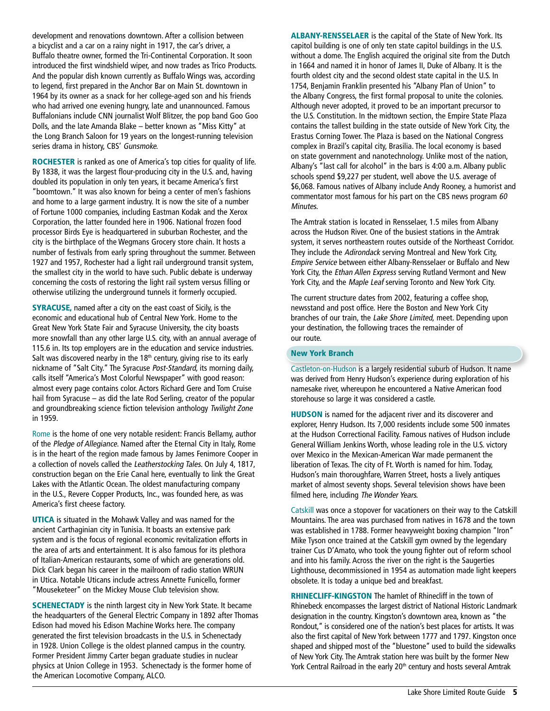development and renovations downtown. After a collision between a bicyclist and a car on a rainy night in 1917, the car's driver, a Buffalo theatre owner, formed the Tri-Continental Corporation. It soon introduced the first windshield wiper, and now trades as Trico Products. And the popular dish known currently as Buffalo Wings was, according to legend, first prepared in the Anchor Bar on Main St. downtown in 1964 by its owner as a snack for her college-aged son and his friends who had arrived one evening hungry, late and unannounced. Famous Buffalonians include CNN journalist Wolf Blitzer, the pop band Goo Goo Dolls, and the late Amanda Blake – better known as "Miss Kitty" at the Long Branch Saloon for 19 years on the longest-running television series drama in history, CBS' Gunsmoke.

ROCHESTER is ranked as one of America's top cities for quality of life. By 1838, it was the largest flour-producing city in the U.S. and, having doubled its population in only ten years, it became America's first "boomtown." It was also known for being a center of men's fashions and home to a large garment industry. It is now the site of a number of Fortune 1000 companies, including Eastman Kodak and the Xerox Corporation, the latter founded here in 1906. National frozen food processor Birds Eye is headquartered in suburban Rochester, and the city is the birthplace of the Wegmans Grocery store chain. It hosts a number of festivals from early spring throughout the summer. Between 1927 and 1957, Rochester had a light rail underground transit system, the smallest city in the world to have such. Public debate is underway concerning the costs of restoring the light rail system versus filling or otherwise utilizing the underground tunnels it formerly occupied.

SYRACUSE, named after a city on the east coast of Sicily, is the economic and educational hub of Central New York. Home to the Great New York State Fair and Syracuse University, the city boasts more snowfall than any other large U.S. city, with an annual average of 115.6 in. Its top employers are in the education and service industries. Salt was discovered nearby in the 18<sup>th</sup> century, giving rise to its early nickname of "Salt City." The Syracuse Post-Standard, its morning daily, calls itself "America's Most Colorful Newspaper" with good reason: almost every page contains color. Actors Richard Gere and Tom Cruise hail from Syracuse – as did the late Rod Serling, creator of the popular and groundbreaking science fiction television anthology Twilight Zone in 1959.

Rome is the home of one very notable resident: Francis Bellamy, author of the Pledge of Allegiance. Named after the Eternal City in Italy, Rome is in the heart of the region made famous by James Fenimore Cooper in a collection of novels called the Leatherstocking Tales. On July 4, 1817, construction began on the Erie Canal here, eventually to link the Great Lakes with the Atlantic Ocean. The oldest manufacturing company in the U.S., Revere Copper Products, Inc., was founded here, as was America's first cheese factory.

UTICA is situated in the Mohawk Valley and was named for the ancient Carthaginian city in Tunisia. It boasts an extensive park system and is the focus of regional economic revitalization efforts in the area of arts and entertainment. It is also famous for its plethora of Italian-American restaurants, some of which are generations old. Dick Clark began his career in the mailroom of radio station WRUN in Utica. Notable Uticans include actress Annette Funicello, former "Mouseketeer" on the Mickey Mouse Club television show.

SCHENECTADY is the ninth largest city in New York State. It became the headquarters of the General Electric Company in 1892 after Thomas Edison had moved his Edison Machine Works here. The company generated the first television broadcasts in the U.S. in Schenectady in 1928. Union College is the oldest planned campus in the country. Former President Jimmy Carter began graduate studies in nuclear physics at Union College in 1953. Schenectady is the former home of the American Locomotive Company, ALCO.

ALBANY-RENSSELAER is the capital of the State of New York. Its capitol building is one of only ten state capitol buildings in the U.S. without a dome. The English acquired the original site from the Dutch in 1664 and named it in honor of James II, Duke of Albany. It is the fourth oldest city and the second oldest state capital in the U.S. In 1754, Benjamin Franklin presented his "Albany Plan of Union" to the Albany Congress, the first formal proposal to unite the colonies. Although never adopted, it proved to be an important precursor to the U.S. Constitution. In the midtown section, the Empire State Plaza contains the tallest building in the state outside of New York City, the Erastus Corning Tower. The Plaza is based on the National Congress complex in Brazil's capital city, Brasilia. The local economy is based on state government and nanotechnology. Unlike most of the nation, Albany's "last call for alcohol" in the bars is 4:00 a.m. Albany public schools spend \$9,227 per student, well above the U.S. average of \$6,068. Famous natives of Albany include Andy Rooney, a humorist and commentator most famous for his part on the CBS news program 60 Minutes.

The Amtrak station is located in Rensselaer, 1.5 miles from Albany across the Hudson River. One of the busiest stations in the Amtrak system, it serves northeastern routes outside of the Northeast Corridor. They include the Adirondack serving Montreal and New York City, Empire Service between either Albany-Rensselaer or Buffalo and New York City, the Ethan Allen Express serving Rutland Vermont and New York City, and the Maple Leaf serving Toronto and New York City.

The current structure dates from 2002, featuring a coffee shop, newsstand and post office. Here the Boston and New York City branches of our train, the Lake Shore Limited, meet. Depending upon your destination, the following traces the remainder of our route.

#### New York Branch

Castleton-on-Hudson is a largely residential suburb of Hudson. It name was derived from Henry Hudson's experience during exploration of his namesake river, whereupon he encountered a Native American food storehouse so large it was considered a castle.

HUDSON is named for the adjacent river and its discoverer and explorer, Henry Hudson. Its 7,000 residents include some 500 inmates at the Hudson Correctional Facility. Famous natives of Hudson include General William Jenkins Worth, whose leading role in the U.S. victory over Mexico in the Mexican-American War made permanent the liberation of Texas. The city of Ft. Worth is named for him. Today, Hudson's main thoroughfare, Warren Street, hosts a lively antiques market of almost seventy shops. Several television shows have been filmed here, including The Wonder Years.

Catskill was once a stopover for vacationers on their way to the Catskill Mountains. The area was purchased from natives in 1678 and the town was established in 1788. Former heavyweight boxing champion "Iron" Mike Tyson once trained at the Catskill gym owned by the legendary trainer Cus D'Amato, who took the young fighter out of reform school and into his family. Across the river on the right is the Saugerties Lighthouse, decommissioned in 1954 as automation made light keepers obsolete. It is today a unique bed and breakfast.

RHINECLIFF-KINGSTON The hamlet of Rhinecliff in the town of Rhinebeck encompasses the largest district of National Historic Landmark designation in the country. Kingston's downtown area, known as "the Rondout," is considered one of the nation's best places for artists. It was also the first capital of New York between 1777 and 1797. Kingston once shaped and shipped most of the "bluestone" used to build the sidewalks of New York City. The Amtrak station here was built by the former New York Central Railroad in the early 20<sup>th</sup> century and hosts several Amtrak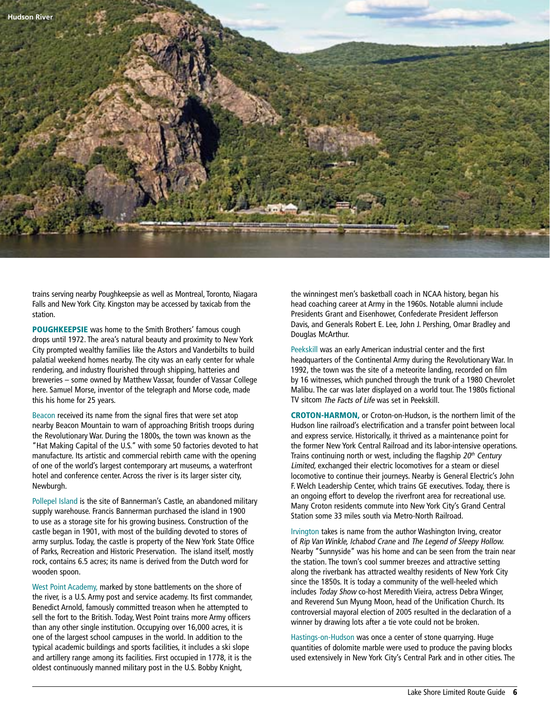

trains serving nearby Poughkeepsie as well as Montreal, Toronto, Niagara Falls and New York City. Kingston may be accessed by taxicab from the station.

POUGHKEEPSIE was home to the Smith Brothers' famous cough drops until 1972. The area's natural beauty and proximity to New York City prompted wealthy families like the Astors and Vanderbilts to build palatial weekend homes nearby. The city was an early center for whale rendering, and industry flourished through shipping, hatteries and breweries – some owned by Matthew Vassar, founder of Vassar College here. Samuel Morse, inventor of the telegraph and Morse code, made this his home for 25 years.

Beacon received its name from the signal fires that were set atop nearby Beacon Mountain to warn of approaching British troops during the Revolutionary War. During the 1800s, the town was known as the "Hat Making Capital of the U.S." with some 50 factories devoted to hat manufacture. Its artistic and commercial rebirth came with the opening of one of the world's largest contemporary art museums, a waterfront hotel and conference center. Across the river is its larger sister city, Newburgh.

Pollepel Island is the site of Bannerman's Castle, an abandoned military supply warehouse. Francis Bannerman purchased the island in 1900 to use as a storage site for his growing business. Construction of the castle began in 1901, with most of the building devoted to stores of army surplus. Today, the castle is property of the New York State Office of Parks, Recreation and Historic Preservation. The island itself, mostly rock, contains 6.5 acres; its name is derived from the Dutch word for wooden spoon.

West Point Academy, marked by stone battlements on the shore of the river, is a U.S. Army post and service academy. Its first commander, Benedict Arnold, famously committed treason when he attempted to sell the fort to the British. Today, West Point trains more Army officers than any other single institution. Occupying over 16,000 acres, it is one of the largest school campuses in the world. In addition to the typical academic buildings and sports facilities, it includes a ski slope and artillery range among its facilities. First occupied in 1778, it is the oldest continuously manned military post in the U.S. Bobby Knight,

the winningest men's basketball coach in NCAA history, began his head coaching career at Army in the 1960s. Notable alumni include Presidents Grant and Eisenhower, Confederate President Jefferson Davis, and Generals Robert E. Lee, John J. Pershing, Omar Bradley and Douglas McArthur.

Peekskill was an early American industrial center and the first headquarters of the Continental Army during the Revolutionary War. In 1992, the town was the site of a meteorite landing, recorded on film by 16 witnesses, which punched through the trunk of a 1980 Chevrolet Malibu. The car was later displayed on a world tour. The 1980s fictional TV sitcom The Facts of Life was set in Peekskill.

CROTON-HARMON, or Croton-on-Hudson, is the northern limit of the Hudson line railroad's electrification and a transfer point between local and express service. Historically, it thrived as a maintenance point for the former New York Central Railroad and its labor-intensive operations. Trains continuing north or west, including the flagship  $20<sup>th</sup>$  Century Limited, exchanged their electric locomotives for a steam or diesel locomotive to continue their journeys. Nearby is General Electric's John F. Welch Leadership Center, which trains GE executives. Today, there is an ongoing effort to develop the riverfront area for recreational use. Many Croton residents commute into New York City's Grand Central Station some 33 miles south via Metro-North Railroad.

Irvington takes is name from the author Washington Irving, creator of Rip Van Winkle, Ichabod Crane and The Legend of Sleepy Hollow. Nearby "Sunnyside" was his home and can be seen from the train near the station. The town's cool summer breezes and attractive setting along the riverbank has attracted wealthy residents of New York City since the 1850s. It is today a community of the well-heeled which includes Today Show co-host Meredith Vieira, actress Debra Winger, and Reverend Sun Myung Moon, head of the Unification Church. Its controversial mayoral election of 2005 resulted in the declaration of a winner by drawing lots after a tie vote could not be broken.

Hastings-on-Hudson was once a center of stone quarrying. Huge quantities of dolomite marble were used to produce the paving blocks used extensively in New York City's Central Park and in other cities. The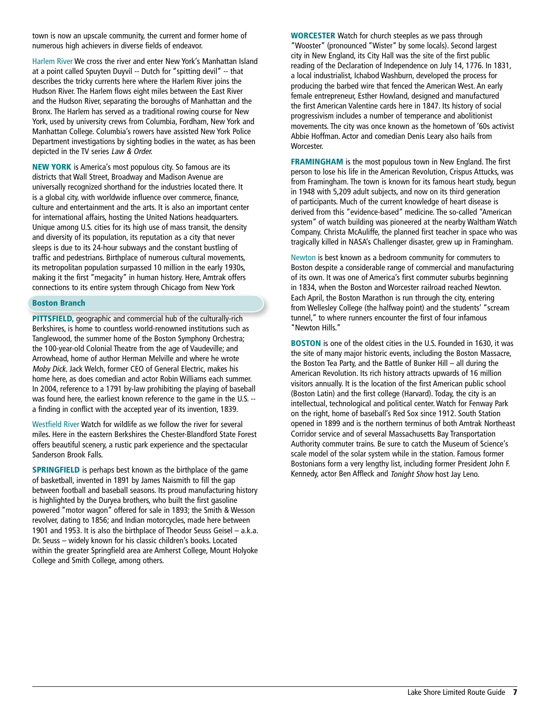town is now an upscale community, the current and former home of numerous high achievers in diverse fields of endeavor.

Harlem River We cross the river and enter New York's Manhattan Island at a point called Spuyten Duyvil -- Dutch for "spitting devil" -- that describes the tricky currents here where the Harlem River joins the Hudson River. The Harlem flows eight miles between the East River and the Hudson River, separating the boroughs of Manhattan and the Bronx. The Harlem has served as a traditional rowing course for New York, used by university crews from Columbia, Fordham, New York and Manhattan College. Columbia's rowers have assisted New York Police Department investigations by sighting bodies in the water, as has been depicted in the TV series Law & Order.

NEW YORK is America's most populous city. So famous are its districts that Wall Street, Broadway and Madison Avenue are universally recognized shorthand for the industries located there. It is a global city, with worldwide influence over commerce, finance, culture and entertainment and the arts. It is also an important center for international affairs, hosting the United Nations headquarters. Unique among U.S. cities for its high use of mass transit, the density and diversity of its population, its reputation as a city that never sleeps is due to its 24-hour subways and the constant bustling of traffic and pedestrians. Birthplace of numerous cultural movements, its metropolitan population surpassed 10 million in the early 1930s, making it the first "megacity" in human history. Here, Amtrak offers connections to its entire system through Chicago from New York

#### Boston Branch

PITTSFIELD, geographic and commercial hub of the culturally-rich Berkshires, is home to countless world-renowned institutions such as Tanglewood, the summer home of the Boston Symphony Orchestra; the 100-year-old Colonial Theatre from the age of Vaudeville; and Arrowhead, home of author Herman Melville and where he wrote Moby Dick. Jack Welch, former CEO of General Electric, makes his home here, as does comedian and actor Robin Williams each summer. In 2004, reference to a 1791 by-law prohibiting the playing of baseball was found here, the earliest known reference to the game in the U.S. - a finding in conflict with the accepted year of its invention, 1839.

Westfield River Watch for wildlife as we follow the river for several miles. Here in the eastern Berkshires the Chester-Blandford State Forest offers beautiful scenery, a rustic park experience and the spectacular Sanderson Brook Falls.

**SPRINGFIELD** is perhaps best known as the birthplace of the game of basketball, invented in 1891 by James Naismith to fill the gap between football and baseball seasons. Its proud manufacturing history is highlighted by the Duryea brothers, who built the first gasoline powered "motor wagon" offered for sale in 1893; the Smith & Wesson revolver, dating to 1856; and Indian motorcycles, made here between 1901 and 1953. It is also the birthplace of Theodor Seuss Geisel – a.k.a. Dr. Seuss – widely known for his classic children's books. Located within the greater Springfield area are Amherst College, Mount Holyoke College and Smith College, among others.

WORCESTER Watch for church steeples as we pass through "Wooster" (pronounced "Wister" by some locals). Second largest city in New England, its City Hall was the site of the first public reading of the Declaration of Independence on July 14, 1776. In 1831, a local industrialist, Ichabod Washburn, developed the process for producing the barbed wire that fenced the American West. An early female entrepreneur, Esther Howland, designed and manufactured the first American Valentine cards here in 1847. Its history of social progressivism includes a number of temperance and abolitionist movements. The city was once known as the hometown of '60s activist Abbie Hoffman. Actor and comedian Denis Leary also hails from Worcester.

FRAMINGHAM is the most populous town in New England. The first person to lose his life in the American Revolution, Crispus Attucks, was from Framingham. The town is known for its famous heart study, begun in 1948 with 5,209 adult subjects, and now on its third generation of participants. Much of the current knowledge of heart disease is derived from this "evidence-based" medicine. The so-called "American system" of watch building was pioneered at the nearby Waltham Watch Company. Christa McAuliffe, the planned first teacher in space who was tragically killed in NASA's Challenger disaster, grew up in Framingham.

Newton is best known as a bedroom community for commuters to Boston despite a considerable range of commercial and manufacturing of its own. It was one of America's first commuter suburbs beginning in 1834, when the Boston and Worcester railroad reached Newton. Each April, the Boston Marathon is run through the city, entering from Wellesley College (the halfway point) and the students' "scream tunnel," to where runners encounter the first of four infamous "Newton Hills."

BOSTON is one of the oldest cities in the U.S. Founded in 1630, it was the site of many major historic events, including the Boston Massacre, the Boston Tea Party, and the Battle of Bunker Hill – all during the American Revolution. Its rich history attracts upwards of 16 million visitors annually. It is the location of the first American public school (Boston Latin) and the first college (Harvard). Today, the city is an intellectual, technological and political center. Watch for Fenway Park on the right, home of baseball's Red Sox since 1912. South Station opened in 1899 and is the northern terminus of both Amtrak Northeast Corridor service and of several Massachusetts Bay Transportation Authority commuter trains. Be sure to catch the Museum of Science's scale model of the solar system while in the station. Famous former Bostonians form a very lengthy list, including former President John F. Kennedy, actor Ben Affleck and Tonight Show host Jay Leno.